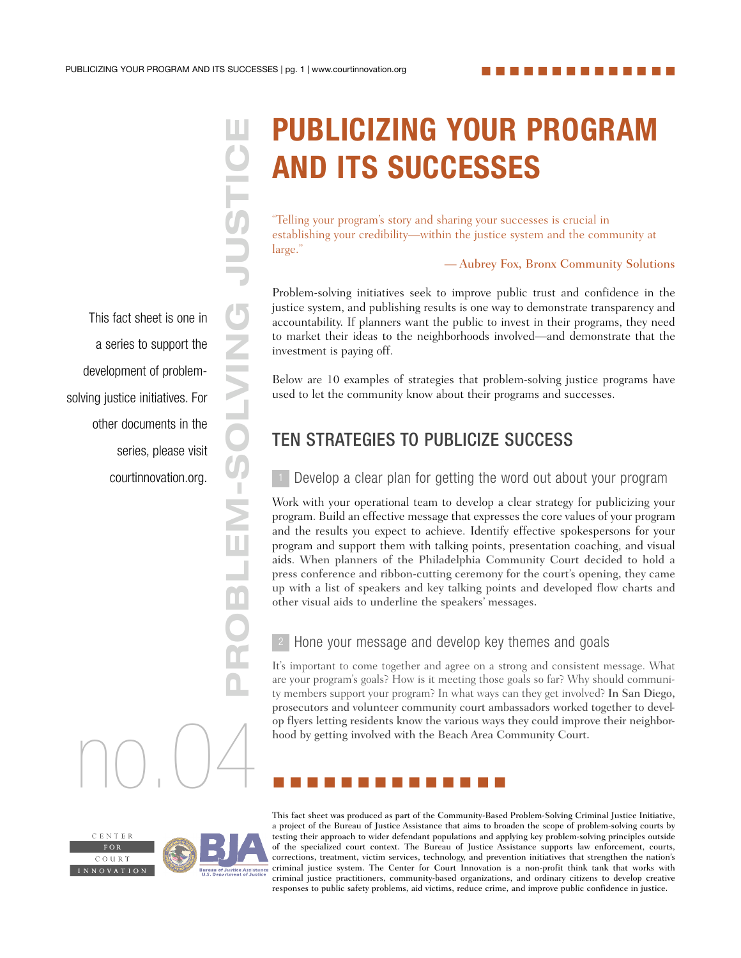This fact sheet is one in a series to support the development of problemsolving justice initiatives. For other documents in the series, please visit courtinnovation.org.

# PUBLICIZING YOUR PROGRAM AND ITS SUCCESSES

establishing your credibility—within the justice system and the community at large."

#### — Aubrey Fox, Bronx Community Solutions

Problem-solving initiatives seek to improve public trust and confidence in the justice system, and publishing results is one way to demonstrate transparency and accountability. If planners want the public to invest in their programs, they need to market their ideas to the neighborhoods involved—and demonstrate that the investment is paying off.

Below are 10 examples of strategies that problem-solving justice programs have used to let the community know about their programs and successes.

# TEN STRATEGIES TO PUBLICIZE SUCCESS

Develop a clear plan for getting the word out about your program

**PUBLICIZING YOUR PROGR**<br> **Examplementary and sharing your successes is crucial in**<br>
Telling your credibility—within the justice system and the communi<br>
Problem-solving initiatives seck to improve public runst and confiden Work with your operational team to develop a clear strategy for publicizing your program. Build an effective message that expresses the core values of your program and the results you expect to achieve. Identify effective spokespersons for your program and support them with talking points, presentation coaching, and visual aids. When planners of the Philadelphia Community Court decided to hold a press conference and ribbon-cutting ceremony for the court's opening, they came up with a list of speakers and key talking points and developed flow charts and other visual aids to underline the speakers' messages.

#### Hone your message and develop key themes and goals

It's important to come together and agree on a strong and consistent message. What are your program's goals? How is it meeting those goals so far? Why should community members support your program? In what ways can they get involved? In San Diego, prosecutors and volunteer community court ambassadors worked together to develop flyers letting residents know the various ways they could improve their neighborhood by getting involved with the Beach Area Community Court. bood by getting involved with the Beach Area C<br>hood by getting involved with the Beach Area C



This fact sheet was produced as part of the Community-Based Problem-Solving Criminal Justice Initiative, a project of the Bureau of Justice Assistance that aims to broaden the scope of problem-solving courts by testing their approach to wider defendant populations and applying key problem-solving principles outside of the specialized court context. The Bureau of Justice Assistance supports law enforcement, courts, corrections, treatment, victim services, technology, and prevention initiatives that strengthen the nation's criminal justice system. The Center for Court Innovation is a non-profit think tank that works with criminal justice practitioners, community-based organizations, and ordinary citizens to develop creative responses to public safety problems, aid victims, reduce crime, and improve public confidence in justice.



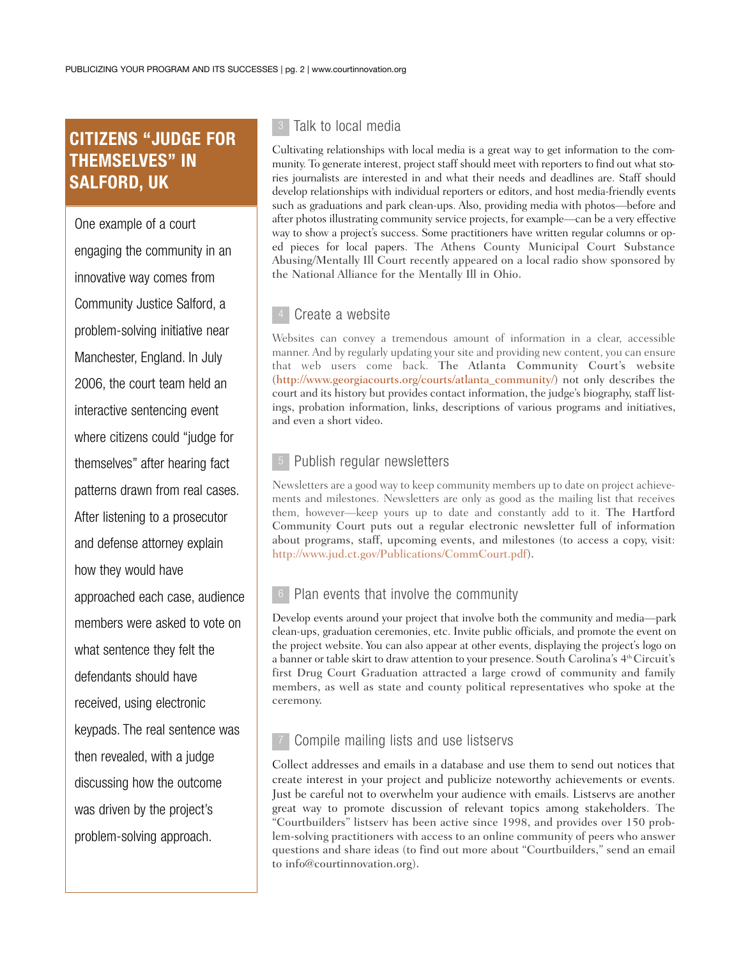## CITIZENS "JUDGE FOR THEMSELVES" IN SALFORD, UK

One example of a court engaging the community in an innovative way comes from Community Justice Salford, a problem-solving initiative near Manchester, England. In July 2006, the court team held an interactive sentencing event where citizens could "judge for themselves" after hearing fact patterns drawn from real cases. After listening to a prosecutor and defense attorney explain how they would have approached each case, audience members were asked to vote on what sentence they felt the defendants should have received, using electronic keypads. The real sentence was then revealed, with a judge discussing how the outcome was driven by the project's problem-solving approach.

#### $\,$  Talk to local media

Cultivating relationships with local media is a great way to get information to the community. To generate interest, project staff should meet with reporters to find out what stories journalists are interested in and what their needs and deadlines are. Staff should develop relationships with individual reporters or editors, and host media-friendly events such as graduations and park clean-ups. Also, providing media with photos—before and after photos illustrating community service projects, for example—can be a very effective way to show a project's success. Some practitioners have written regular columns or oped pieces for local papers. The Athens County Municipal Court Substance Abusing/Mentally Ill Court recently appeared on a local radio show sponsored by the National Alliance for the Mentally Ill in Ohio.

#### Create a website

Websites can convey a tremendous amount of information in a clear, accessible manner. And by regularly updating your site and providing new content, you can ensure that web users come back. The Atlanta Community Court's website (http://www.georgiacourts.org/courts/atlanta\_community/) not only describes the court and its history but provides contact information, the judge's biography, staff listings, probation information, links, descriptions of various programs and initiatives, and even a short video.

#### Publish regular newsletters

Newsletters are a good way to keep community members up to date on project achievements and milestones. Newsletters are only as good as the mailing list that receives them, however—keep yours up to date and constantly add to it. The Hartford Community Court puts out a regular electronic newsletter full of information about programs, staff, upcoming events, and milestones (to access a copy, visit: http://www.jud.ct.gov/Publications/CommCourt.pdf).

#### Plan events that involve the community

Develop events around your project that involve both the community and media—park clean-ups, graduation ceremonies, etc. Invite public officials, and promote the event on the project website. You can also appear at other events, displaying the project's logo on a banner or table skirt to draw attention to your presence. South Carolina's 4<sup>th</sup> Circuit's first Drug Court Graduation attracted a large crowd of community and family members, as well as state and county political representatives who spoke at the ceremony.

#### Compile mailing lists and use listservs

Collect addresses and emails in a database and use them to send out notices that create interest in your project and publicize noteworthy achievements or events. Just be careful not to overwhelm your audience with emails. Listservs are another great way to promote discussion of relevant topics among stakeholders. The "Courtbuilders" listserv has been active since 1998, and provides over 150 problem-solving practitioners with access to an online community of peers who answer questions and share ideas (to find out more about "Courtbuilders," send an email to info@courtinnovation.org).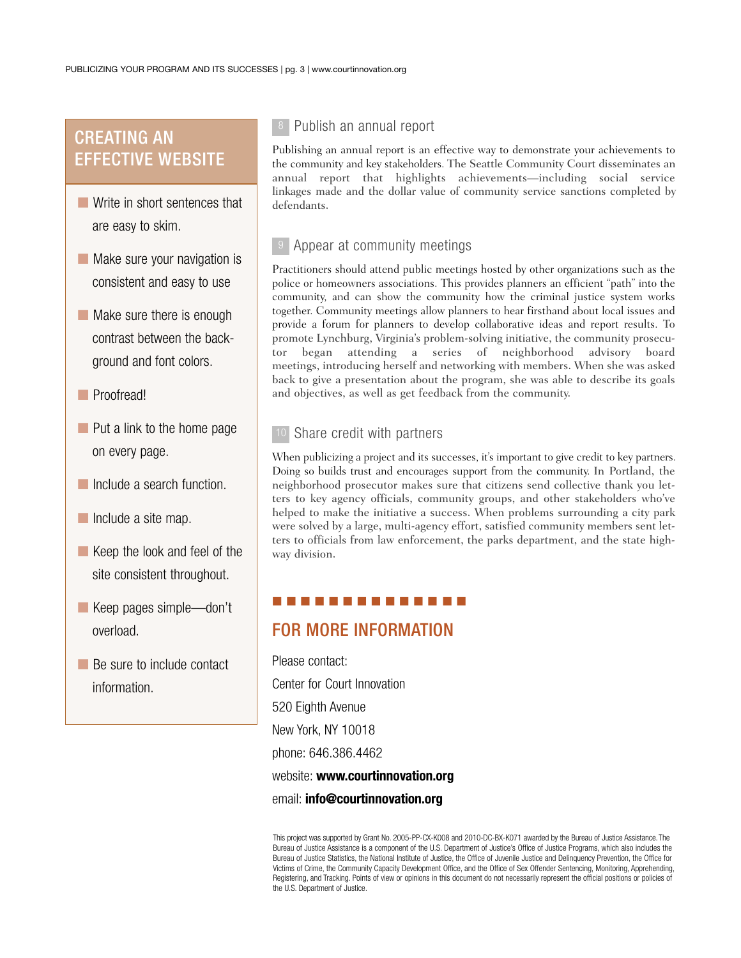## CREATING AN EFFECTIVE WEBSITE

- Write in short sentences that are easy to skim.
- Make sure your navigation is consistent and easy to use
- Make sure there is enough contrast between the background and font colors.
- Proofread!
- Put a link to the home page on every page.
- Include a search function.
- Include a site map.
- Keep the look and feel of the site consistent throughout.
- Keep pages simple—don't overload.
- Be sure to include contact information.

### Publish an annual report 8

Publishing an annual report is an effective way to demonstrate your achievements to the community and key stakeholders. The Seattle Community Court disseminates an annual report that highlights achievements—including social service linkages made and the dollar value of community service sanctions completed by defendants.

### <sup>9</sup> Appear at community meetings

Practitioners should attend public meetings hosted by other organizations such as the police or homeowners associations. This provides planners an efficient "path" into the community, and can show the community how the criminal justice system works together. Community meetings allow planners to hear firsthand about local issues and provide a forum for planners to develop collaborative ideas and report results. To promote Lynchburg, Virginia's problem-solving initiative, the community prosecutor began attending a series of neighborhood advisory board meetings, introducing herself and networking with members. When she was asked back to give a presentation about the program, she was able to describe its goals and objectives, as well as get feedback from the community.

#### Share credit with partners 10

When publicizing a project and its successes, it's important to give credit to key partners. Doing so builds trust and encourages support from the community. In Portland, the neighborhood prosecutor makes sure that citizens send collective thank you letters to key agency officials, community groups, and other stakeholders who've helped to make the initiative a success. When problems surrounding a city park were solved by a large, multi-agency effort, satisfied community members sent letters to officials from law enforcement, the parks department, and the state highway division.

### ■ ■ ■ ■ ■ ■ ■ ■ ■ ■ ■ ■ ■ ■

## FOR MORE INFORMATION

Please contact: Center for Court Innovation 520 Eighth Avenue New York, NY 10018 phone: 646.386.4462 website: www.courtinnovation.org email: info@courtinnovation.org

This project was supported by Grant No. 2005-PP-CX-K008 and 2010-DC-BX-K071 awarded by the Bureau of Justice Assistance. The Bureau of Justice Assistance is a component of the U.S. Department of Justice's Office of Justice Programs, which also includes the Bureau of Justice Statistics, the National Institute of Justice, the Office of Juvenile Justice and Delinquency Prevention, the Office for Victims of Crime, the Community Capacity Development Office, and the Office of Sex Offender Sentencing, Monitoring, Apprehending, Registering, and Tracking. Points of view or opinions in this document do not necessarily represent the official positions or policies of the U.S. Department of Justice.